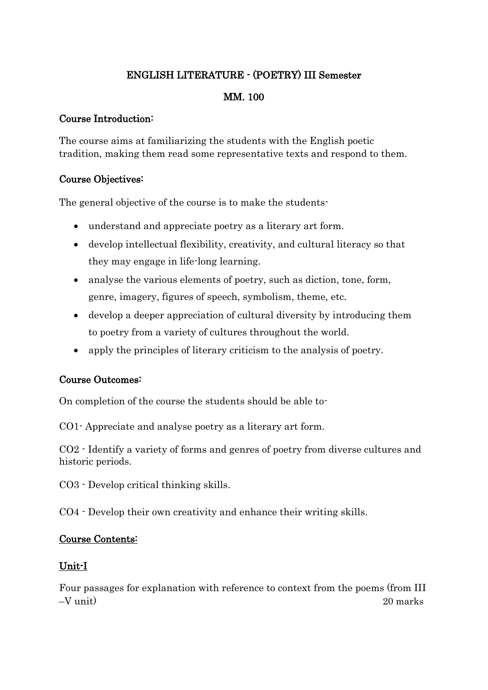### ENGLISH LITERATURE - (POETRY) III Semester

### MM. 100

#### Course Introduction:

The course aims at familiarizing the students with the English poetic tradition, making them read some representative texts and respond to them.

#### Course Objectives:

The general objective of the course is to make the students-

- understand and appreciate poetry as a literary art form.
- develop intellectual flexibility, creativity, and cultural literacy so that they may engage in life-long learning.
- analyse the various elements of poetry, such as diction, tone, form, genre, imagery, figures of speech, symbolism, theme, etc.
- develop a deeper appreciation of cultural diversity by introducing them to poetry from a variety of cultures throughout the world.
- apply the principles of literary criticism to the analysis of poetry.

#### Course Outcomes:

On completion of the course the students should be able to-

CO1- Appreciate and analyse poetry as a literary art form.

CO2 - Identify a variety of forms and genres of poetry from diverse cultures and historic periods.

CO3 - Develop critical thinking skills.

CO4 - Develop their own creativity and enhance their writing skills.

#### Course Contents:

#### Unit-I

Four passages for explanation with reference to context from the poems (from III –V unit) 20 marks